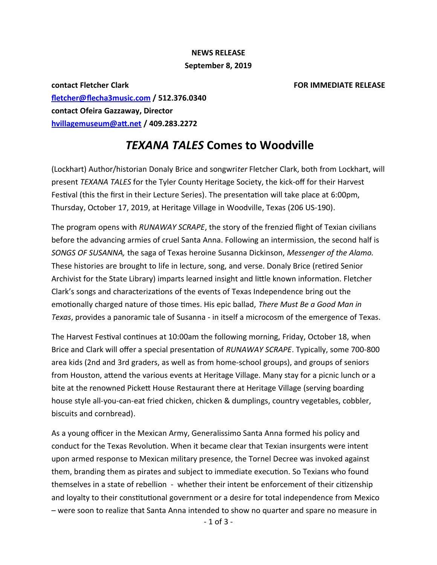## **NEWS RELEASE September 8, 2019**

**contact Fletcher Clark FOR IMMEDIATE RELEASE  [fletcher@ flecha3music.com](mailto:hvillagemuseum@att.net) / 512.376.0340 contact Ofeira Gazzaway, Director [hvillagemuseum@att.net](mailto:hvillagemuseum@att.net) / 409.283.2272**

# *TEXANA TALES* **Comes to Woodville**

(Lockhart) Author/historian Donaly Brice and songwri*ter* Fletcher Clark, both from Lockhart, will present *TEXANA TALES* for the Tyler County Heritage Society, the kick-off for their Harvest Festival (this the first in their Lecture Series). The presentation will take place at 6:00pm, Thursday, October 17, 2019, at Heritage Village in Woodville, Texas (206 US-190).

The program opens with *RUNAWAY SCRAPE*, the story of the frenzied flight of Texian civilians before the advancing armies of cruel Santa Anna. Following an intermission, the second half is *SONGS OF SUSANNA,* the saga of Texas heroine Susanna Dickinson, *Messenger of the Alamo.* These histories are brought to life in lecture, song, and verse. Donaly Brice (retired Senior Archivist for the State Library) imparts learned insight and little known information. Fletcher Clark's songs and characterizations of the events of Texas Independence bring out the emotionally charged nature of those times. His epic ballad, *There Must Be a Good Man in Texas*, provides a panoramic tale of Susanna - in itself a microcosm of the emergence of Texas.

The Harvest Festival continues at 10:00am the following morning, Friday, October 18, when Brice and Clark will offer a special presentation of *RUNAWAY SCRAPE*. Typically, some 700-800 area kids (2nd and 3rd graders, as well as from home-school groups), and groups of seniors from Houston, attend the various events at Heritage Village. Many stay for a picnic lunch or a bite at the renowned Pickett House Restaurant there at Heritage Village (serving boarding house style all-you-can-eat fried chicken, chicken & dumplings, country vegetables, cobbler, biscuits and cornbread).

As a young officer in the Mexican Army, Generalissimo Santa Anna formed his policy and conduct for the Texas Revolution. When it became clear that Texian insurgents were intent upon armed response to Mexican military presence, the Tornel Decree was invoked against them, branding them as pirates and subject to immediate execution. So Texians who found themselves in a state of rebellion - whether their intent be enforcement of their citizenship and loyalty to their constitutional government or a desire for total independence from Mexico – were soon to realize that Santa Anna intended to show no quarter and spare no measure in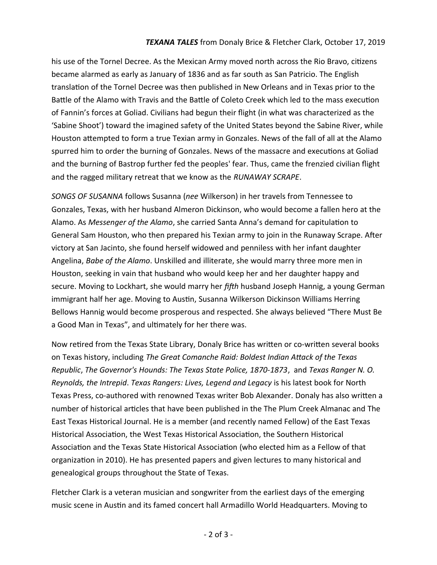## *TEXANA TALES* from Donaly Brice & Fletcher Clark, October 17, 2019

his use of the Tornel Decree. As the Mexican Army moved north across the Rio Bravo, citizens became alarmed as early as January of 1836 and as far south as San Patricio. The English translation of the Tornel Decree was then published in New Orleans and in Texas prior to the Battle of the Alamo with Travis and the Battle of Coleto Creek which led to the mass execution of Fannin's forces at Goliad. Civilians had begun their flight (in what was characterized as the 'Sabine Shoot') toward the imagined safety of the United States beyond the Sabine River, while Houston attempted to form a true Texian army in Gonzales. News of the fall of all at the Alamo spurred him to order the burning of Gonzales. News of the massacre and executions at Goliad and the burning of Bastrop further fed the peoples' fear. Thus, came the frenzied civilian flight and the ragged military retreat that we know as the *RUNAWAY SCRAPE*.

*SONGS OF SUSANNA* follows Susanna (*nee* Wilkerson) in her travels from Tennessee to Gonzales, Texas, with her husband Almeron Dickinson, who would become a fallen hero at the Alamo. As *Messenger of the Alamo*, she carried Santa Anna's demand for capitulation to General Sam Houston, who then prepared his Texian army to join in the Runaway Scrape. After victory at San Jacinto, she found herself widowed and penniless with her infant daughter Angelina, *Babe of the Alamo*. Unskilled and illiterate, she would marry three more men in Houston, seeking in vain that husband who would keep her and her daughter happy and secure. Moving to Lockhart, she would marry her *fifth* husband Joseph Hannig, a young German immigrant half her age. Moving to Austin, Susanna Wilkerson Dickinson Williams Herring Bellows Hannig would become prosperous and respected. She always believed "There Must Be a Good Man in Texas", and ultimately for her there was.

Now retired from the Texas State Library, Donaly Brice has written or co-written several books on Texas history, including *The Great Comanche Raid: Boldest Indian Attack of the Texas Republic*, *The Governor's Hounds: The Texas State Police, 1870-1873*, and *Texas Ranger N. O. Reynolds, the Intrepid*. *Texas Rangers: Lives, Legend and Legacy* is his latest book for North Texas Press, co-authored with renowned Texas writer Bob Alexander. Donaly has also written a number of historical articles that have been published in the The Plum Creek Almanac and The East Texas Historical Journal. He is a member (and recently named Fellow) of the East Texas Historical Association, the West Texas Historical Association, the Southern Historical Association and the Texas State Historical Association (who elected him as a Fellow of that organization in 2010). He has presented papers and given lectures to many historical and genealogical groups throughout the State of Texas.

Fletcher Clark is a veteran musician and songwriter from the earliest days of the emerging music scene in Austin and its famed concert hall Armadillo World Headquarters. Moving to